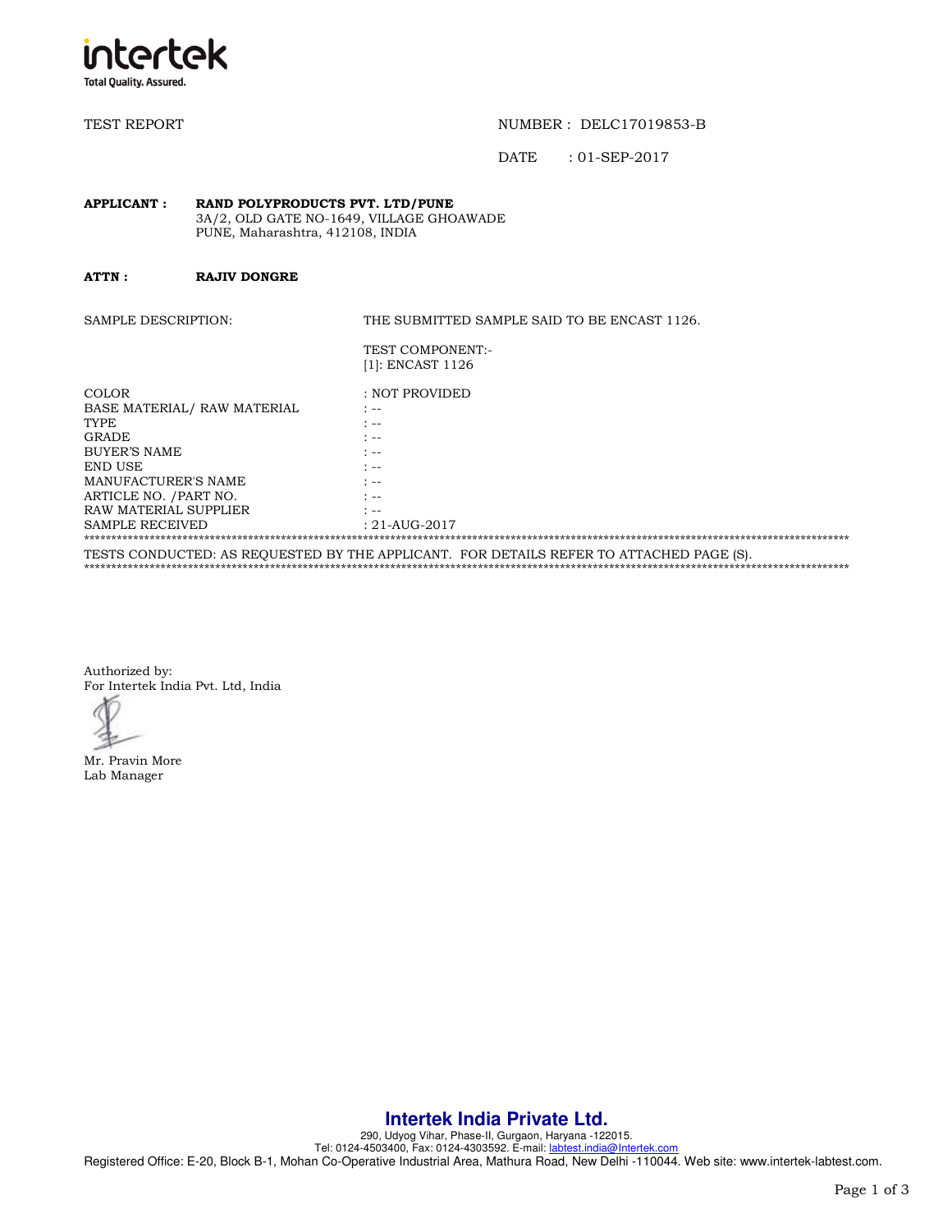

TEST REPORT TEST REPORT TEST AND THE REPORT OF THE REPORT OF THE REPORT OF THE REPORT OF THE REPORT OF THE REPORT OF THE REPORT OF THE REPORT OF THE REPORT OF THE REPORT OF THE REPORT OF THE REPORT OF THE REPORT OF THE REP

DATE : 01-SEP-2017

#### **APPLICANT : RAND POLYPRODUCTS PVT. LTD/PUNE**  3A/2, OLD GATE NO-1649, VILLAGE GHOAWADE PUNE, Maharashtra, 412108, INDIA

**ATTN : RAJIV DONGRE** 

SAMPLE DESCRIPTION: THE SUBMITTED SAMPLE SAID TO BE ENCAST 1126.

| TEST COMPONENT:-    |
|---------------------|
| $[1]$ : ENCAST 1126 |

| COLOR                                                                                   | : NOT PROVIDED             |  |
|-----------------------------------------------------------------------------------------|----------------------------|--|
| BASE MATERIAL/ RAW MATERIAL                                                             | .                          |  |
| TYPE                                                                                    | * --                       |  |
| <b>GRADE</b>                                                                            | * --                       |  |
| BUYER'S NAME                                                                            | * --                       |  |
| END USE                                                                                 | * --                       |  |
| MANUFACTURER'S NAME                                                                     | t --                       |  |
| ARTICLE NO. / PART NO.                                                                  | * --                       |  |
| RAW MATERIAL SUPPLIER                                                                   | $\mathcal{L}_{\text{max}}$ |  |
| <b>SAMPLE RECEIVED</b>                                                                  | $: 21 - AUG - 2017$        |  |
|                                                                                         |                            |  |
| TESTS CONDUCTED: AS REOUESTED BY THE APPLICANT. FOR DETAILS REFER TO ATTACHED PAGE (S). |                            |  |

\*\*\*\*\*\*\*\*\*\*\*\*\*\*\*\*\*\*\*\*\*\*\*\*\*\*\*\*\*\*\*\*\*\*\*\*\*\*\*\*\*\*\*\*\*\*\*\*\*\*\*\*\*\*\*\*\*\*\*\*\*\*\*\*\*\*\*\*\*\*\*\*\*\*\*\*\*\*\*\*\*\*\*\*\*\*\*\*\*\*\*\*\*\*\*\*\*\*\*\*\*\*\*\*\*\*\*\*\*\*\*\*\*\*\*\*\*\*\*\*\*\*\*\*\*\*\*\*\*\*\*\*\*\*\*\*\*\*\*\*

Authorized by: For Intertek India Pvt. Ltd, India

Mr. Pravin More Lab Manager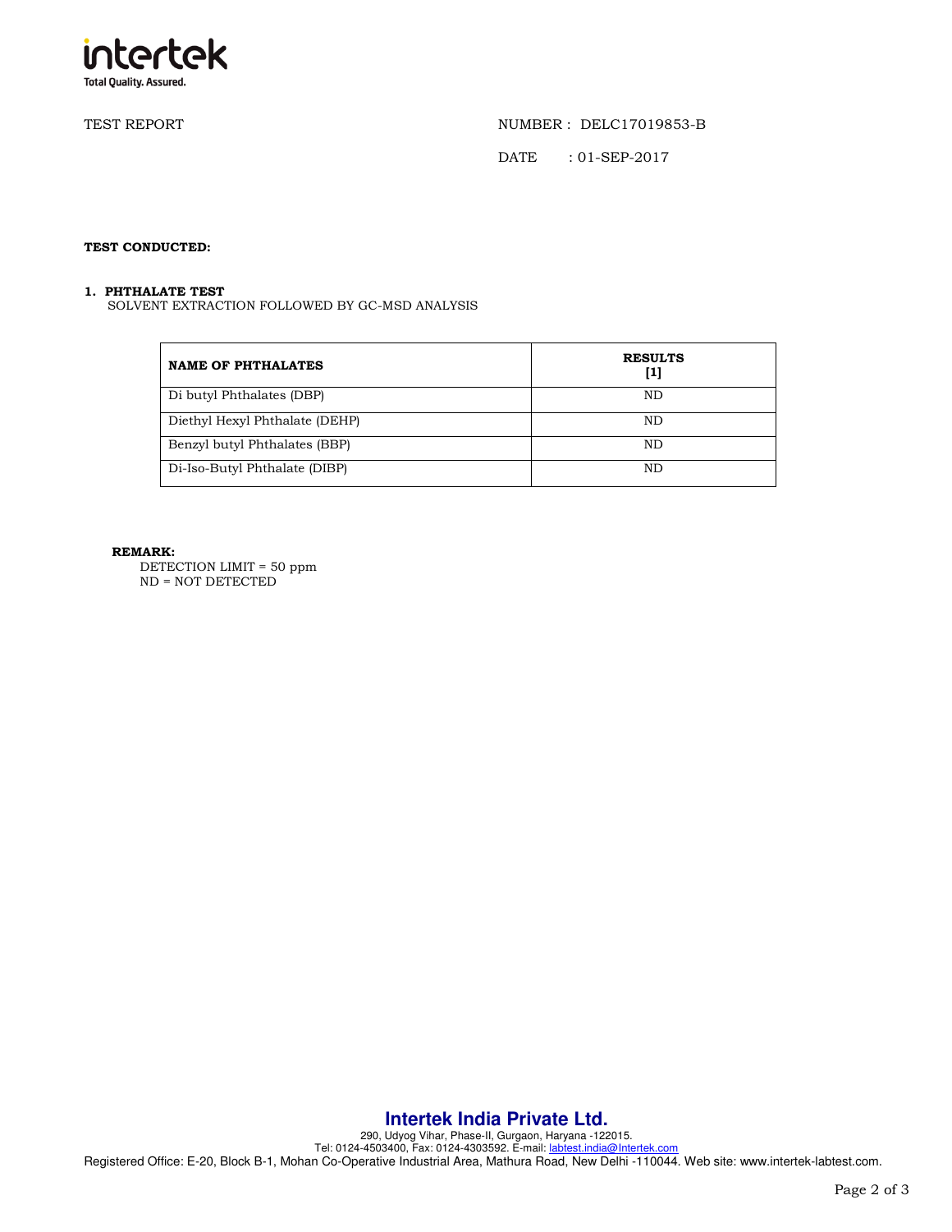

TEST REPORT NUMBER : DELC17019853-B

DATE : 01-SEP-2017

# **TEST CONDUCTED:**

## **1. PHTHALATE TEST**

SOLVENT EXTRACTION FOLLOWED BY GC-MSD ANALYSIS

| <b>NAME OF PHTHALATES</b>      | <b>RESULTS</b><br>[1] |
|--------------------------------|-----------------------|
| Di butyl Phthalates (DBP)      | ND                    |
| Diethyl Hexyl Phthalate (DEHP) | ND                    |
| Benzyl butyl Phthalates (BBP)  | ND                    |
| Di-Iso-Butyl Phthalate (DIBP)  | ND                    |

## **REMARK:**

DETECTION LIMIT = 50 ppm ND = NOT DETECTED